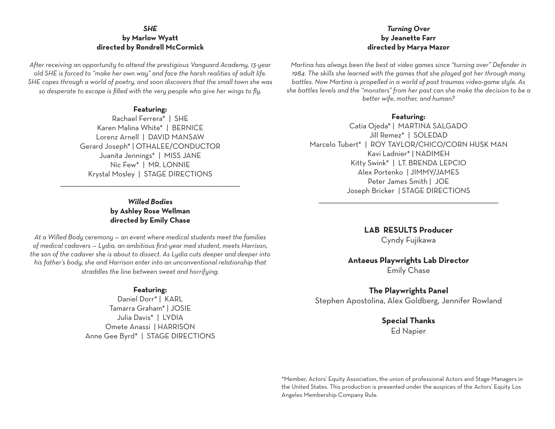### *SHE* **by Marlow Wyatt directed by Rondrell McCormick**

*After receiving an opportunity to attend the prestigious Vanguard Academy, 13-year old SHE is forced to "make her own way" and face the harsh realities of adult life. SHE copes through a world of poetry, and soon discovers that the small town she was so desperate to escape is filled with the very people who give her wings to fly.*

### **Featuring:**

Rachael Ferrera\* | SHE Karen Malina White\* | BERNICE Lorenz Arnell | DAVID MANSAW Gerard Joseph\* | OTHALEE/CONDUCTOR Juanita Jennings\* | MISS JANE Nic Few\* | MR. LONNIE Krystal Mosley | STAGE DIRECTIONS

> *Willed Bodies* **by Ashley Rose Wellman directed by Emily Chase**

\_\_\_\_\_\_\_\_\_\_\_\_\_\_\_\_\_\_\_\_\_\_\_\_\_\_\_\_\_\_\_\_\_\_\_\_\_\_\_\_\_\_\_\_\_\_\_\_\_\_\_\_\_\_\_\_\_\_\_\_\_\_\_\_\_\_\_\_\_\_\_\_\_\_\_\_\_\_\_\_\_\_\_\_\_\_\_\_\_\_\_

*At a Willed Body ceremony — an event where medical students meet the families of medical cadavers — Lydia, an ambitious first-year med student, meets Harrison, the son of the cadaver she is about to dissect. As Lydia cuts deeper and deeper into his father's body, she and Harrison enter into an unconventional relationship that straddles the line between sweet and horrifying.*

#### **Featuring:**

Daniel Dorr\* | KARL Tamarra Graham\* | JOSIE Julia Davis\* | LYDIA Omete Anassi | HARRISON Anne Gee Byrd\* | STAGE DIRECTIONS

## *Turning Over* **by Jeanette Farr directed by Marya Mazor**

*Martina has always been the best at video games since "turning over" Defender in 1984. The skills she learned with the games that she played got her through many battles. Now Martina is propelled in a world of past traumas video-game style. As she battles levels and the "monsters" from her past can she make the decision to be a better wife, mother, and human?*

### **Featuring:**

Catia Ojeda\* | MARTINA SALGADO Jill Remez\* | SOLEDAD Marcelo Tubert\* | ROY TAYLOR/CHICO/CORN HUSK MAN Kavi Ladnier\* | NADIMEH Kitty Swink\* | LT. BRENDA LEPCIO Alex Portenko | JIMMY/JAMES Peter James Smith | JOE Joseph Bricker | STAGE DIRECTIONS

> **LAB RESULTS Producer** Cyndy Fujikawa

\_\_\_\_\_\_\_\_\_\_\_\_\_\_\_\_\_\_\_\_\_\_\_\_\_\_\_\_\_\_\_\_\_\_\_\_\_\_\_\_\_\_\_\_\_\_\_\_\_\_\_\_\_\_\_\_\_\_\_\_\_\_\_\_\_\_\_\_\_\_\_\_\_\_\_\_\_\_\_\_\_\_\_\_\_\_\_\_\_\_\_

## **Antaeus Playwrights Lab Director** Emily Chase

## **The Playwrights Panel**

Stephen Apostolina, Alex Goldberg, Jennifer Rowland

# **Special Thanks**

Ed Napier

\*Member, Actors' Equity Association, the union of professional Actors and Stage Managers in the United States. This production is presented under the auspices of the Actors' Equity Los Angeles Membership Company Rule.